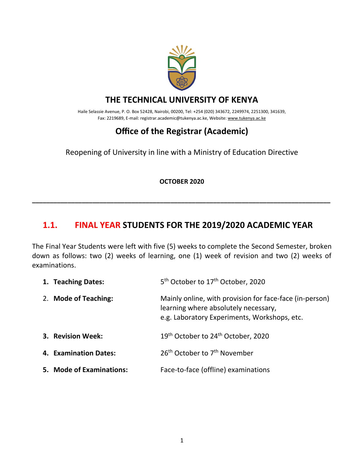

### **THE TECHNICAL UNIVERSITY OF KENYA**

Haile Selassie Avenue, P. O. Box 52428, Nairobi, 00200, Tel: +254 (020) 343672, 2249974, 2251300, 341639, Fax: 2219689, E-mail: registrar.academic@tukenya.ac.ke, Website[: www.tukenya.ac.ke](http://www.tukenya.ac.ke/)

# **Office of the Registrar (Academic)**

Reopening of University in line with a Ministry of Education Directive

#### **OCTOBER 2020**

**\_\_\_\_\_\_\_\_\_\_\_\_\_\_\_\_\_\_\_\_\_\_\_\_\_\_\_\_\_\_\_\_\_\_\_\_\_\_\_\_\_\_\_\_\_\_\_\_\_\_\_\_\_\_\_\_\_\_\_\_\_\_\_\_\_\_\_\_\_\_\_\_\_\_\_\_\_\_\_\_\_\_\_\_**

### **1.1. FINAL YEAR STUDENTS FOR THE 2019/2020 ACADEMIC YEAR**

The Final Year Students were left with five (5) weeks to complete the Second Semester, broken down as follows: two (2) weeks of learning, one (1) week of revision and two (2) weeks of examinations.

| 1. Teaching Dates:       | 5 <sup>th</sup> October to 17 <sup>th</sup> October, 2020                                                                                       |
|--------------------------|-------------------------------------------------------------------------------------------------------------------------------------------------|
| 2. Mode of Teaching:     | Mainly online, with provision for face-face (in-person)<br>learning where absolutely necessary,<br>e.g. Laboratory Experiments, Workshops, etc. |
| 3. Revision Week:        | 19 <sup>th</sup> October to 24 <sup>th</sup> October, 2020                                                                                      |
| 4. Examination Dates:    | 26 <sup>th</sup> October to 7 <sup>th</sup> November                                                                                            |
| 5. Mode of Examinations: | Face-to-face (offline) examinations                                                                                                             |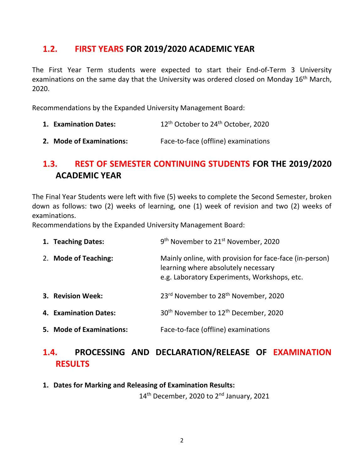#### **1.2. FIRST YEARS FOR 2019/2020 ACADEMIC YEAR**

The First Year Term students were expected to start their End-of-Term 3 University examinations on the same day that the University was ordered closed on Monday 16<sup>th</sup> March, 2020.

Recommendations by the Expanded University Management Board:

- **1. Examination Dates:** 12<sup>th</sup> October to 24<sup>th</sup> October, 2020
- **2. Mode of Examinations:** Face-to-face (offline) examinations

## **1.3. REST OF SEMESTER CONTINUING STUDENTS FOR THE 2019/2020 ACADEMIC YEAR**

The Final Year Students were left with five (5) weeks to complete the Second Semester, broken down as follows: two (2) weeks of learning, one (1) week of revision and two (2) weeks of examinations.

Recommendations by the Expanded University Management Board:

| 1. Teaching Dates:       | 9 <sup>th</sup> November to 21 <sup>st</sup> November, 2020                                                                                    |
|--------------------------|------------------------------------------------------------------------------------------------------------------------------------------------|
| 2. Mode of Teaching:     | Mainly online, with provision for face-face (in-person)<br>learning where absolutely necessary<br>e.g. Laboratory Experiments, Workshops, etc. |
| 3. Revision Week:        | 23rd November to 28 <sup>th</sup> November, 2020                                                                                               |
| 4. Examination Dates:    | 30 <sup>th</sup> November to 12 <sup>th</sup> December, 2020                                                                                   |
| 5. Mode of Examinations: | Face-to-face (offline) examinations                                                                                                            |

### **1.4. PROCESSING AND DECLARATION/RELEASE OF EXAMINATION RESULTS**

**1. Dates for Marking and Releasing of Examination Results:**

14<sup>th</sup> December, 2020 to 2<sup>nd</sup> January, 2021